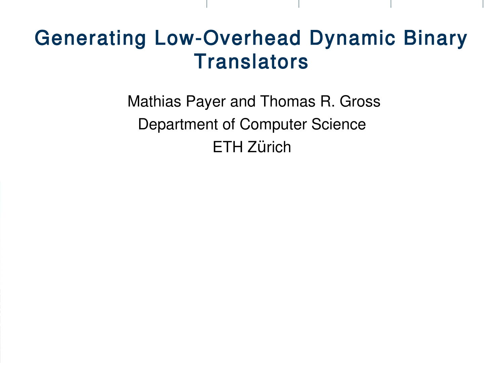## Generating Low-Overhead Dynamic Binary **Translators**

Mathias Payer and Thomas R. Gross Department of Computer Science **ETH Zürich**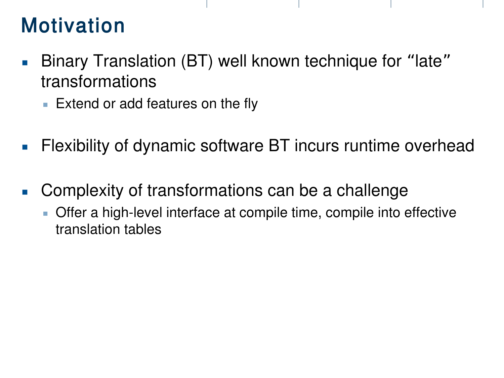# Motivation

- **Binary Translation (BT) well known technique for "late"** transformations
	- **Extend or add features on the fly**
- **Filexibility of dynamic software BT incurs runtime overhead**
- **Complexity of transformations can be a challenge** 
	- **-** Offer a high-level interface at compile time, compile into effective translation tables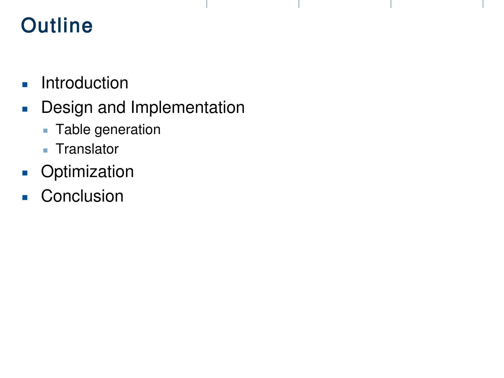# **Outline**

- **Introduction**
- **Design and Implementation** 
	- **Table generation**
	- **Translator**
- **Departual**<br> **Departual**<br> **Depending Optimization**
- **Conclusion**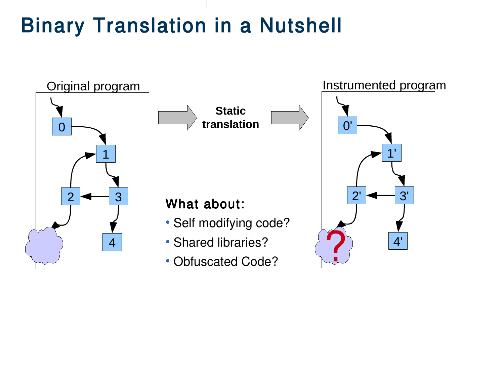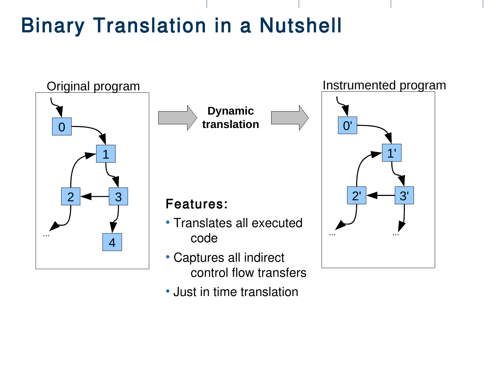

• Just in time translation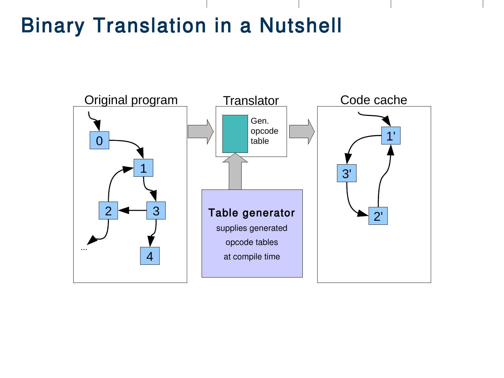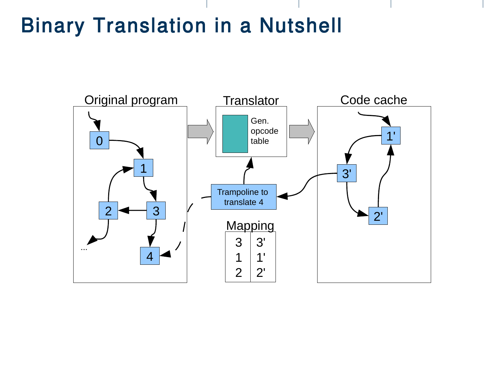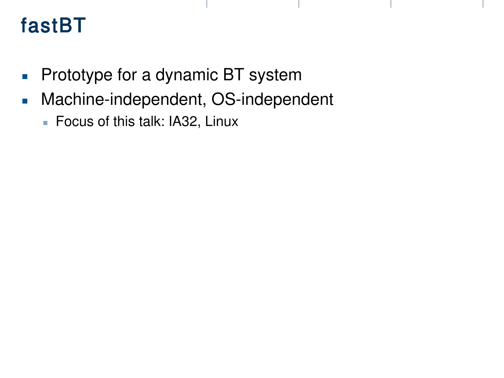# fastBT

- **Prototype for a dynamic BT system**
- **Machine-independent, OS-independent** 
	- Focus of this talk: IA32, Linux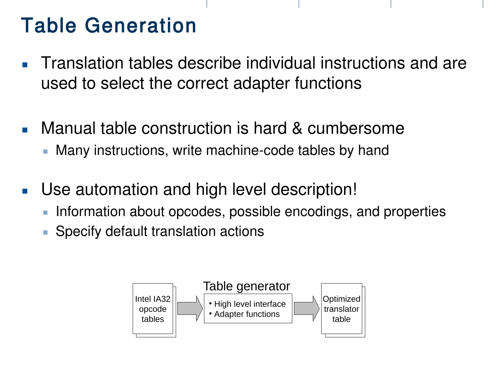# Table Generation

- **Translation tables describe individual instructions and are** used to select the correct adapter functions
- **Nanual table construction is hard & cumbersome** 
	- **Many instructions, write machine-code tables by hand**
- Use automation and high level description!
	- Information about opcodes, possible encodings, and properties
	- **Specify default translation actions**

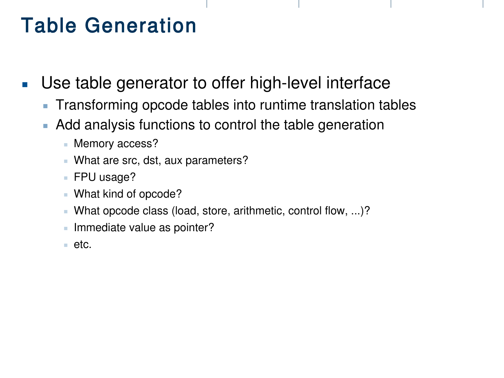# Table Generation

- Use table generator to offer high-level interface
	- **Transforming opcode tables into runtime translation tables**
	- Add analysis functions to control the table generation
		- **Memory access?**
		- What are src, dst, aux parameters?
		- FPU usage?
		- What kind of opcode?
		- What opcode class (load, store, arithmetic, control flow, ...)?
		- **Immediate value as pointer?**
		- $\blacksquare$  etc.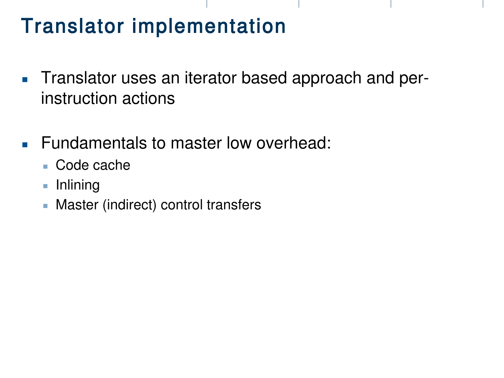# Translator implementation

- **Translator uses an iterator based approach and per**instruction actions
- **Fundamentals to master low overhead:** 
	- Code cache
	- **Inlining**
	- **Master (indirect) control transfers**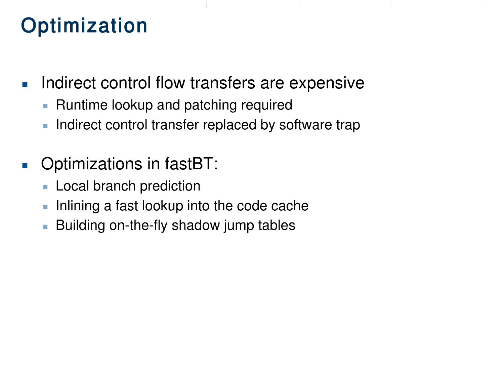# **Optimization**

- **Indirect control flow transfers are expensive** 
	- **Runtime lookup and patching required**
	- **Indirect control transfer replaced by software trap**
- **Departule 15 Continuities Contact ST**:
	- **Local branch prediction**
	- Inlining a fast lookup into the code cache
	- **Building on-the-fly shadow jump tables**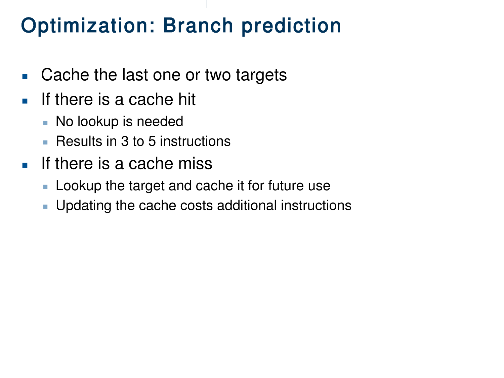# Optimization: Branch prediction

- Cache the last one or two targets
- If there is a cache hit
	- No lookup is needed
	- Results in 3 to 5 instructions
- $\blacksquare$  If there is a cache miss
	- **Lookup the target and cache it for future use**
	- **Updating the cache costs additional instructions**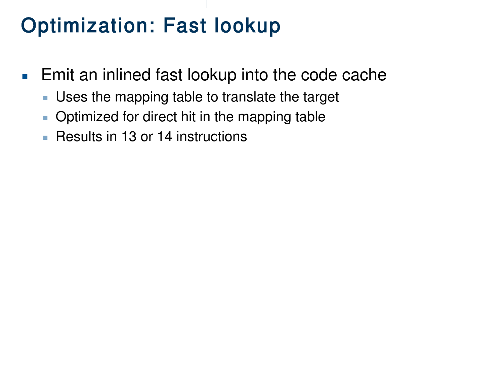# Optimization: Fast lookup

- **Emit an inlined fast lookup into the code cache** 
	- Uses the mapping table to translate the target
	- **Optimized for direct hit in the mapping table**
	- **Results in 13 or 14 instructions**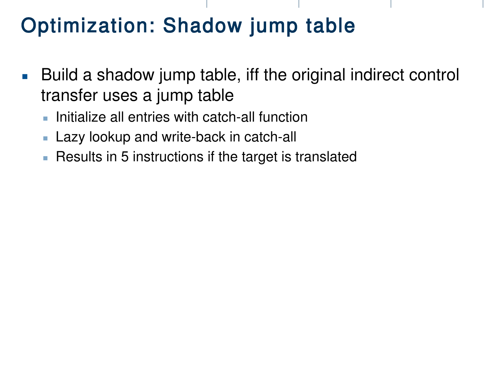# Optimization: Shadow jump table

- Build a shadow jump table, iff the original indirect control transfer uses a jump table
	- **Initialize all entries with catch-all function**
	- **Lazy lookup and write-back in catch-all**
	- **Results in 5 instructions if the target is translated**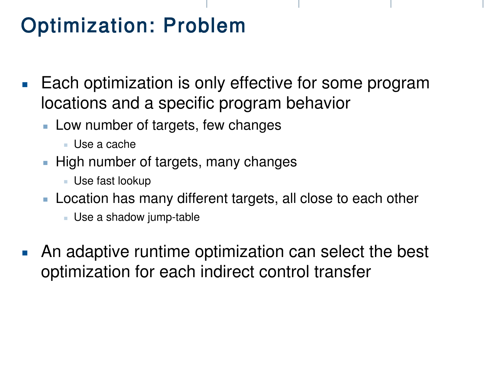# Optimization: Problem

- **Each optimization is only effective for some program** locations and a specific program behavior
	- **Low number of targets, few changes** 
		- Use a cache
	- **High number of targets, many changes** 
		- Use fast lookup
	- **Location has many different targets, all close to each other** 
		- Use a shadow jump-table
- **An adaptive runtime optimization can select the best** optimization for each indirect control transfer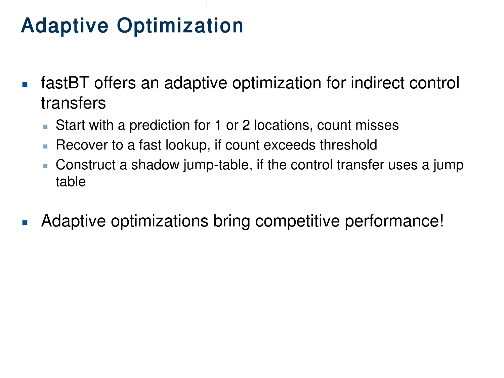# Adaptive Optimization

- fastBT offers an adaptive optimization for indirect control transfers
	- **Start with a prediction for 1 or 2 locations, count misses**
	- **Recover to a fast lookup, if count exceeds threshold**
	- Construct a shadow jump-table, if the control transfer uses a jump table
- **Adaptive optimizations bring competitive performance!**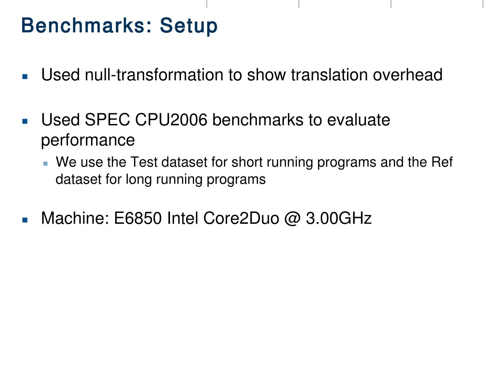# Benchmarks: Setup

- Used null-transformation to show translation overhead
- **Used SPEC CPU2006 benchmarks to evaluate** performance
	- We use the Test dataset for short running programs and the Ref dataset for long running programs
- Machine: E6850 Intel Core2Duo @ 3.00GHz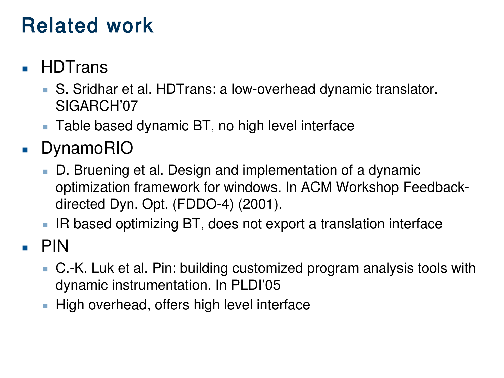# Related work

- **HDTrans** 
	- S. Sridhar et al. HDTrans: a low-overhead dynamic translator. SIGARCH'07
	- **Table based dynamic BT, no high level interface**
- **DynamoRIO** 
	- D. Bruening et al. Design and implementation of a dynamic optimization framework for windows. In ACM Workshop Feedbackdirected Dyn. Opt. (FDDO-4) (2001).
	- **IR based optimizing BT, does not export a translation interface**
- PIN
	- C.-K. Luk et al. Pin: building customized program analysis tools with dynamic instrumentation. In PLDI'05
	- High overhead, offers high level interface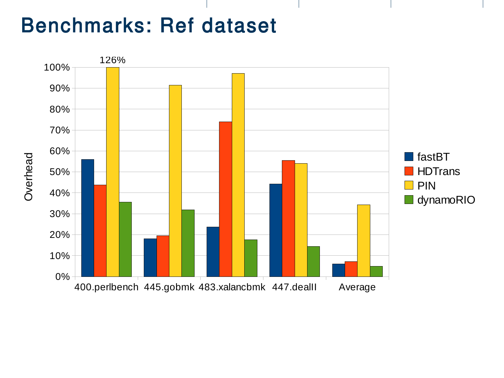# Benchmarks: Ref dataset

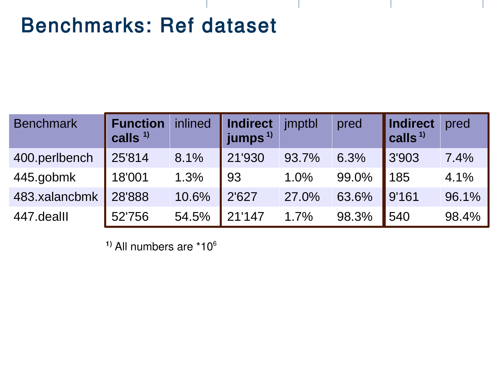# Benchmarks: Ref dataset

| <b>Benchmark</b> | <b>Function</b><br>calls $1$ | inlined | <b>Indirect</b><br>jumps $^{1}$ | jmptbl | pred  | Indirect<br>calls <sup>1)</sup> | pred  |
|------------------|------------------------------|---------|---------------------------------|--------|-------|---------------------------------|-------|
| 400.perlbench    | 25'814                       | 8.1%    | 21'930                          | 93.7%  | 6.3%  | 3'903                           | 7.4%  |
| 445.gobmk        | 18'001                       | 1.3%    | 93                              | 1.0%   | 99.0% | 185                             | 4.1%  |
| 483.xalancbmk    | 28'888                       | 10.6%   | 2'627                           | 27.0%  | 63.6% | 9'161                           | 96.1% |
| 447.dealll       | 52'756                       | 54.5%   | 21'147                          | 1.7%   | 98.3% | 540                             | 98.4% |

 $<sup>1</sup>$  All numbers are  $*10<sup>6</sup>$ </sup>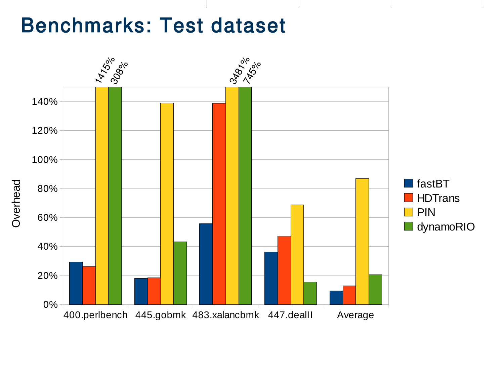## Benchmarks: Test dataset

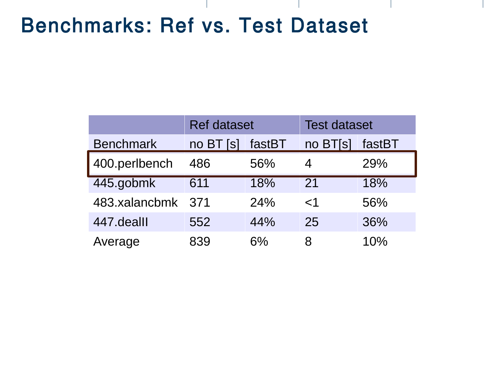# Benchmarks: Ref vs. Test Dataset

|                  | <b>Ref dataset</b>       |        | <b>Test dataset</b> |        |  |
|------------------|--------------------------|--------|---------------------|--------|--|
| <b>Benchmark</b> | no BT<br>IS <sub>I</sub> | fastBT | no BT[s]            | fastBT |  |
| 400.perlbench    | 486                      | 56%    | 4                   | 29%    |  |
| 445.gobmk        | 611                      | 18%    | 21                  | 18%    |  |
| 483.xalancbmk    | 371                      | 24%    | $<$ 1               | 56%    |  |
| 447.dealll       | 552                      | 44%    | 25                  | 36%    |  |
| Average          | 839                      | $6\%$  | 8                   | 10%    |  |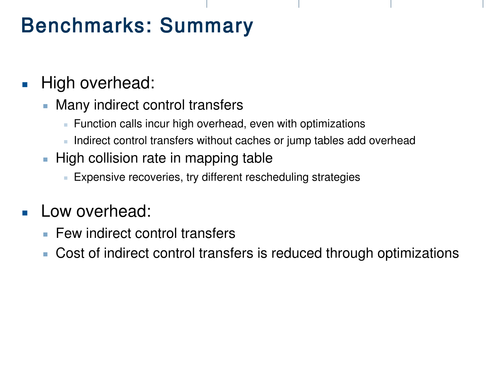# Benchmarks: Summary

### **High overhead:**

- **Many indirect control transfers** 
	- **Function calls incur high overhead, even with optimizations**
	- I Indirect control transfers without caches or jump tables add overhead
- $\blacksquare$  High collision rate in mapping table
	- **Expensive recoveries, try different rescheduling strategies**

### Low overhead:

- **Few indirect control transfers**
- Cost of indirect control transfers is reduced through optimizations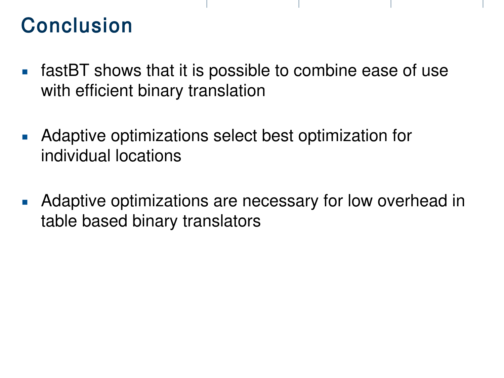# Conclusion

- **fastBT** shows that it is possible to combine ease of use with efficient binary translation
- **Adaptive optimizations select best optimization for** individual locations
- **Adaptive optimizations are necessary for low overhead in** table based binary translators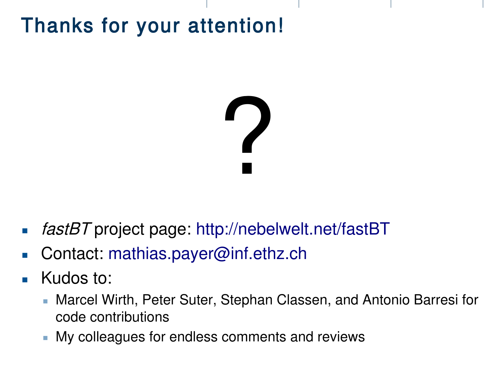# Thanks for your attention!

# ?

- **fastBT** project page: <http://nebelwelt.net/fastBT>
- Contact: [mathias.payer@inf.ethz.ch](mailto:mathias.payer@inf.ethz.ch)
- **Kudos to:** 
	- Marcel Wirth, Peter Suter, Stephan Classen, and Antonio Barresi for code contributions
	- **My colleagues for endless comments and reviews**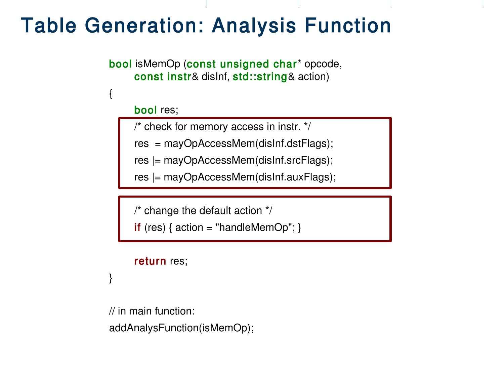# Table Generation: Analysis Function

bool isMemOp (const unsigned char\* opcode, const instr& disInf, std::string& action)

#### bool res;

/\* check for memory access in instr. \*/

res = mayOpAccessMem(disInf.dstFlags);

res |= mayOpAccessMem(disInf.srcFlags);

res |= mayOpAccessMem(disInf.auxFlags);

/\* change the default action \*/

if (res)  $\{$  action = "handleMemOp";  $\}$ 

#### return res;

}

{

// in main function: addAnalysFunction(isMemOp);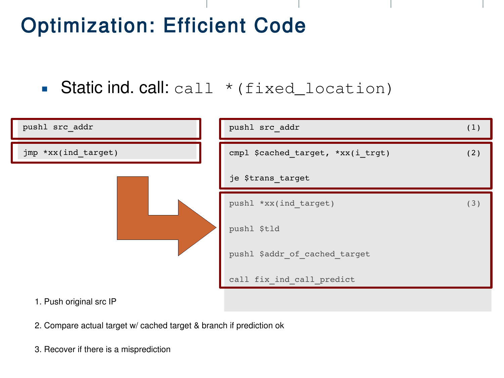# Optimization: Efficient Code

Static ind. call:  $cal 1$   $\star$  (fixed\_location)



- 2. Compare actual target w/ cached target & branch if prediction ok
- 3. Recover if there is a misprediction